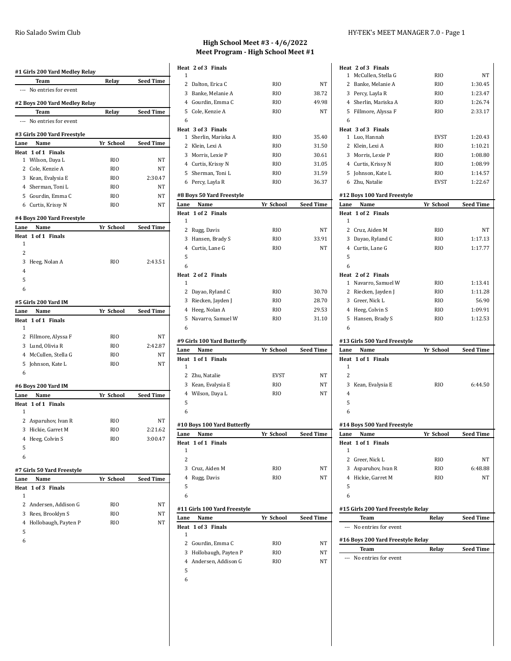| #1 Girls 200 Yard Medley Relay       |                      |            |                  |
|--------------------------------------|----------------------|------------|------------------|
| Team                                 |                      | Relay      | <b>Seed Time</b> |
| --- No entries for event             |                      |            |                  |
| #2 Boys 200 Yard Medley Relay        |                      |            |                  |
| <b>Team</b>                          |                      | Relay      | <b>Seed Time</b> |
| ---                                  | No entries for event |            |                  |
| #3 Girls 200 Yard Freestyle          |                      |            |                  |
| Lane<br>Name                         |                      | Yr School  | <b>Seed Time</b> |
| Heat 1 of 1 Finals                   |                      |            |                  |
| Wilson, Daya L<br>$\mathbf{1}$       |                      | RIO        | NΤ               |
| 2 Cole, Kenzie A                     |                      | RIO        | NΤ               |
| 3 Kean, Evalysia E                   |                      | RIO        | 2:30.47          |
| 4 Sherman, Toni L                    |                      | RIO        | NΤ               |
| 5 Gourdin, Emma C                    |                      | RIO        | NT               |
| 6 Curtis, Krissy N                   |                      | RIO        | NΤ               |
| #4 Boys 200 Yard Freestyle           |                      |            |                  |
| Name<br>Lane                         |                      | Yr School  | <b>Seed Time</b> |
| 1 of 1 Finals<br>Heat                |                      |            |                  |
| 1                                    |                      |            |                  |
| 2                                    |                      |            |                  |
| 3<br>Heeg, Nolan A<br>$\overline{4}$ |                      | RIO        | 2:43.51          |
| 5                                    |                      |            |                  |
| 6                                    |                      |            |                  |
| #5 Girls 200 Yard IM                 |                      |            |                  |
|                                      |                      |            |                  |
|                                      |                      |            |                  |
| Name<br>Lane                         |                      | Yr School  | Seed Time        |
| Heat 1 of 1 Finals<br>1              |                      |            |                  |
|                                      |                      | RIO        | NT               |
| 2 Fillmore, Alyssa F                 |                      | RIO        | 2:42.87          |
| 3 Lund, Olivia R                     |                      |            | NT               |
| 4 McCullen, Stella G                 |                      | RIO<br>RIO | NT               |
| 5 Johnson, Kate L<br>6               |                      |            |                  |
|                                      |                      |            |                  |
| #6 Boys 200 Yard IM<br>Name<br>Lane  |                      | Yr School  | <b>Seed Time</b> |
| Heat 1 of 1 Finals                   |                      |            |                  |
| 1                                    |                      |            |                  |
| $\mathbf{2}$<br>Asparuhov, Ivan R    |                      | RIO        | NT               |
| 3 Hickie, Garret M                   |                      | RIO        | 2:21.62          |
| Heeg, Colvin S<br>4                  |                      | RIO        | 3:00.47          |
| 5                                    |                      |            |                  |
| 6                                    |                      |            |                  |
| #7 Girls 50 Yard Freestyle           |                      |            |                  |
| Lane<br>Name                         |                      | Yr School  | <b>Seed Time</b> |
| $1$ of $3$<br>Heat                   | <b>Finals</b>        |            |                  |
| 1                                    |                      |            |                  |
| 2                                    | Andersen, Addison G  | RIO        | NΤ               |
| 3<br>Rees, Brooklyn S                |                      | RIO        | NΤ               |
| 4                                    | Hollobaugh, Payten P | RIO        | NΤ               |
| 5<br>6                               |                      |            |                  |

## **High School Meet #3 - 4/6/2022 Meet Program - High School Meet #1**

|                        | Heat 2 of 3 Finals                       |                 |                  |  |  |  |
|------------------------|------------------------------------------|-----------------|------------------|--|--|--|
| 1                      |                                          |                 |                  |  |  |  |
|                        | 2 Dalton, Erica C                        | RIO             | NT               |  |  |  |
|                        | 3 Banke, Melanie A                       | RIO             | 38.72            |  |  |  |
|                        | 4 Gourdin, Emma C                        | RIO             | 49.98            |  |  |  |
|                        | 5 Cole, Kenzie A                         | RIO             | NΤ               |  |  |  |
| 6                      |                                          |                 |                  |  |  |  |
| 1                      | Heat 3 of 3 Finals<br>Sherlin, Mariska A | RIO             | 35.40            |  |  |  |
|                        | 2 Klein, Lexi A                          | RIO             | 31.50            |  |  |  |
|                        | 3 Morris, Lexie P                        | RIO             | 30.61            |  |  |  |
|                        | 4 Curtis, Krissy N                       | RIO             | 31.05            |  |  |  |
|                        | 5 Sherman, Toni L                        | RI <sub>0</sub> | 31.59            |  |  |  |
|                        | 6 Percy, Layla R                         | RIO             | 36.37            |  |  |  |
|                        |                                          |                 |                  |  |  |  |
|                        | #8 Boys 50 Yard Freestyle                |                 |                  |  |  |  |
| Lane                   | Name<br>Heat 1 of 2 Finals               | Yr School       | <b>Seed Time</b> |  |  |  |
| 1                      |                                          |                 |                  |  |  |  |
|                        | 2 Rugg, Davis                            | RIO             | NΤ               |  |  |  |
| 3                      | Hansen, Brady S                          | RIO             | 33.91            |  |  |  |
|                        | 4 Curtis, Lane G                         | RIO             | NΤ               |  |  |  |
| 5                      |                                          |                 |                  |  |  |  |
| 6                      |                                          |                 |                  |  |  |  |
|                        | Heat 2 of 2 Finals                       |                 |                  |  |  |  |
| $\mathbf{1}$           |                                          |                 |                  |  |  |  |
|                        | 2 Dayao, Ryland C                        | <b>RIO</b>      | 30.70            |  |  |  |
|                        | 3 Riecken, Jayden J                      | RIO             | 28.70            |  |  |  |
|                        | 4 Heeg, Nolan A                          | RIO             | 29.53            |  |  |  |
| 5                      | Navarro, Samuel W                        | RIO             | 31.10            |  |  |  |
|                        |                                          |                 |                  |  |  |  |
| 6                      |                                          |                 |                  |  |  |  |
|                        | #9 Girls 100 Yard Butterfly              |                 |                  |  |  |  |
| Lane                   | Name                                     | Yr School       | Seed Time        |  |  |  |
|                        | Heat 1 of 1 Finals                       |                 |                  |  |  |  |
| 1                      |                                          |                 |                  |  |  |  |
| $\overline{2}$         | Zhu, Natalie                             | <b>EVST</b>     | NΤ               |  |  |  |
| 3                      | Kean, Evalysia E                         | RIO             | NΤ               |  |  |  |
|                        | 4 Wilson, Daya L                         | RIO             | NΤ               |  |  |  |
| 5                      |                                          |                 |                  |  |  |  |
| 6                      |                                          |                 |                  |  |  |  |
|                        | #10 Boys 100 Yard Butterfly              |                 |                  |  |  |  |
| Lane                   | Name                                     | Yr School       | Seed Time        |  |  |  |
| Heat                   | 1 of 1<br>Finals                         |                 |                  |  |  |  |
| 1                      |                                          |                 |                  |  |  |  |
| $\overline{2}$         |                                          |                 |                  |  |  |  |
| 3                      | Cruz, Aiden M                            | RIO             | NT               |  |  |  |
| 4                      | Rugg, Davis                              | RIO             | NΤ               |  |  |  |
| 5                      |                                          |                 |                  |  |  |  |
| 6                      |                                          |                 |                  |  |  |  |
|                        | #11 Girls 100 Yard Freestyle             |                 |                  |  |  |  |
|                        | Name                                     | Yr School       | Seed Time        |  |  |  |
|                        | 1 of 3 Finals                            |                 |                  |  |  |  |
| 1                      |                                          |                 |                  |  |  |  |
| 2                      | Gourdin, Emma C                          | RIO             | NΤ               |  |  |  |
| Lane<br>Heat<br>3<br>4 | Hollobaugh, Payten P                     | RIO             | NT               |  |  |  |
|                        | Andersen, Addison G                      | RIO             | NΤ               |  |  |  |
| 5<br>6                 |                                          |                 |                  |  |  |  |

| Heat 2 of 3 Finals                        |             |                  |
|-------------------------------------------|-------------|------------------|
| 1 McCullen, Stella G                      | RIO         | NT               |
| 2 Banke, Melanie A                        | RIO         | 1:30.45          |
| 3 Percy, Layla R                          | RIO         | 1:23.47          |
| 4 Sherlin, Mariska A                      | RIO         | 1:26.74          |
| 5 Fillmore, Alyssa F                      | RIO         | 2:33.17          |
| 6                                         |             |                  |
| Heat 3 of 3 Finals                        |             |                  |
| 1 Luo, Hannah                             | EVST        | 1:20.43          |
| 2 Klein, Lexi A                           | RIO         | 1:10.21          |
| 3 Morris, Lexie P                         | RIO         | 1:08.80          |
| 4 Curtis, Krissy N                        | RIO         | 1:08.99          |
| 5 Johnson, Kate L                         | RIO         | 1:14.57          |
| 6 Zhu, Natalie                            | <b>EVST</b> | 1:22.67          |
| #12 Boys 100 Yard Freestyle               |             |                  |
| Name<br>Lane                              | Yr School   | <b>Seed Time</b> |
| Heat 1 of 2 Finals                        |             |                  |
| 1                                         |             |                  |
| 2 Cruz, Aiden M                           | RIO         | NΤ               |
| 3 Dayao, Ryland C                         | RIO         | 1:17.13          |
| 4 Curtis, Lane G                          | RIO         | 1:17.77          |
| 5                                         |             |                  |
| 6                                         |             |                  |
| Heat 2 of 2 Finals                        |             |                  |
| 1 Navarro, Samuel W                       | RIO         | 1:13.41          |
| 2 Riecken, Jayden J                       | RIO         | 1:11.28          |
| 3 Greer, Nick L                           | RIO         | 56.90            |
| 4 Heeg, Colvin S                          | RIO         | 1:09.91          |
| 5 Hansen, Brady S                         | RIO         | 1:12.53          |
| 6                                         |             |                  |
|                                           |             |                  |
| #13 Girls 500 Yard Freestyle              |             |                  |
|                                           |             |                  |
| Name<br>Lane                              | Yr School   | <b>Seed Time</b> |
| Heat 1 of 1 Finals                        |             |                  |
| 1                                         |             |                  |
| $\overline{2}$                            |             |                  |
| 3<br>Kean, Evalysia E                     | RIO         | 6:44.50          |
| 4                                         |             |                  |
| 5                                         |             |                  |
| 6                                         |             |                  |
|                                           |             |                  |
| #14 Boys 500 Yard Freestyle               |             |                  |
| Name<br>Lane                              | Yr School   | Seed Time        |
| Heat 1 of 1 Finals<br>1                   |             |                  |
| 2<br>Greer, Nick L                        | RIO         | NT               |
| 3<br>Asparuhov, Ivan R                    | RIO         | 6:48.88          |
| 4 Hickie, Garret M                        | RIO         | NT               |
| 5                                         |             |                  |
| 6                                         |             |                  |
|                                           |             |                  |
| #15 Girls 200 Yard Freestyle Relay        |             |                  |
| <b>Team</b>                               | Relay       | <b>Seed Time</b> |
| No entries for event<br>---               |             |                  |
|                                           |             |                  |
| #16 Boys 200 Yard Freestyle Relay<br>Team | Relay       | <b>Seed Time</b> |
| No entries for event<br>$---$             |             |                  |
|                                           |             |                  |
|                                           |             |                  |
|                                           |             |                  |
|                                           |             |                  |
|                                           |             |                  |
|                                           |             |                  |
|                                           |             |                  |